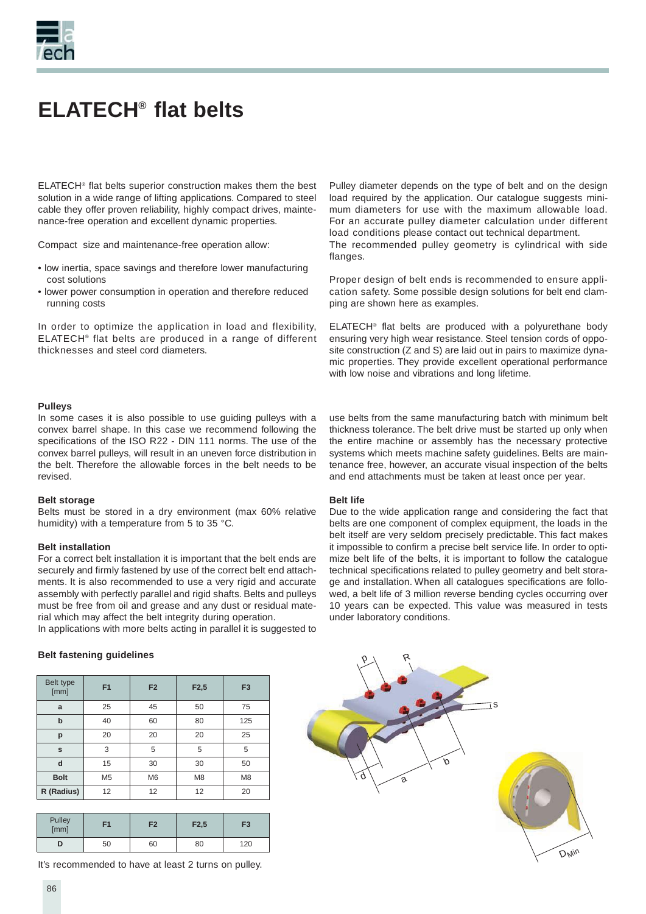

## **ELATECH® flat belts**

ELATECH® flat belts superior construction makes them the best solution in a wide range of lifting applications. Compared to steel cable they offer proven reliability, highly compact drives, maintenance-free operation and excellent dynamic properties.

Compact size and maintenance-free operation allow:

- low inertia, space savings and therefore lower manufacturing cost solutions
- lower power consumption in operation and therefore reduced running costs

In order to optimize the application in load and flexibility, ELATECH® flat belts are produced in a range of different thicknesses and steel cord diameters.

Pulley diameter depends on the type of belt and on the design load required by the application. Our catalogue suggests minimum diameters for use with the maximum allowable load. For an accurate pulley diameter calculation under different load conditions please contact out technical department. The recommended pulley geometry is cylindrical with side flanges.

Proper design of belt ends is recommended to ensure application safety. Some possible design solutions for belt end clamping are shown here as examples.

ELATECH® flat belts are produced with a polyurethane body ensuring very high wear resistance. Steel tension cords of opposite construction (Z and S) are laid out in pairs to maximize dynamic properties. They provide excellent operational performance with low noise and vibrations and long lifetime.

#### **Pulleys**

In some cases it is also possible to use guiding pulleys with a convex barrel shape. In this case we recommend following the specifications of the ISO R22 - DIN 111 norms. The use of the convex barrel pulleys, will result in an uneven force distribution in the belt. Therefore the allowable forces in the belt needs to be revised.

#### **Belt storage**

Belts must be stored in a dry environment (max 60% relative humidity) with a temperature from 5 to 35 °C.

#### **Belt installation**

For a correct belt installation it is important that the belt ends are securely and firmly fastened by use of the correct belt end attachments. It is also recommended to use a very rigid and accurate assembly with perfectly parallel and rigid shafts. Belts and pulleys must be free from oil and grease and any dust or residual material which may affect the belt integrity during operation.

In applications with more belts acting in parallel it is suggested to

use belts from the same manufacturing batch with minimum belt thickness tolerance. The belt drive must be started up only when the entire machine or assembly has the necessary protective systems which meets machine safety guidelines. Belts are maintenance free, however, an accurate visual inspection of the belts and end attachments must be taken at least once per year.

#### **Belt life**

Due to the wide application range and considering the fact that belts are one component of complex equipment, the loads in the belt itself are very seldom precisely predictable. This fact makes it impossible to confirm a precise belt service life. In order to optimize belt life of the belts, it is important to follow the catalogue technical specifications related to pulley geometry and belt storage and installation. When all catalogues specifications are followed, a belt life of 3 million reverse bending cycles occurring over 10 years can be expected. This value was measured in tests under laboratory conditions.

#### **Belt fastening quidelines**

| Belt type<br>[mm] | F <sub>1</sub> | F <sub>2</sub> | F2,5           | F <sub>3</sub> |
|-------------------|----------------|----------------|----------------|----------------|
| a                 | 25             | 45             | 50             | 75             |
| $\mathbf b$       | 40             | 60             | 80             | 125            |
| p                 | 20             | 20             | 20             | 25             |
| s                 | 3              | 5              | 5              | 5              |
| d                 | 15             | 30             | 30             | 50             |
| <b>Bolt</b>       | M <sub>5</sub> | M6             | M <sub>8</sub> | M8             |
| R (Radius)        | 12             | 12             | 12             | 20             |

| Pulley<br>[mm] | F1 | F <sub>2</sub> | F2,5 | F <sub>3</sub> |
|----------------|----|----------------|------|----------------|
|                | 50 | 60             | 80   | 120            |

It's recommended to have at least 2 turns on pulley.

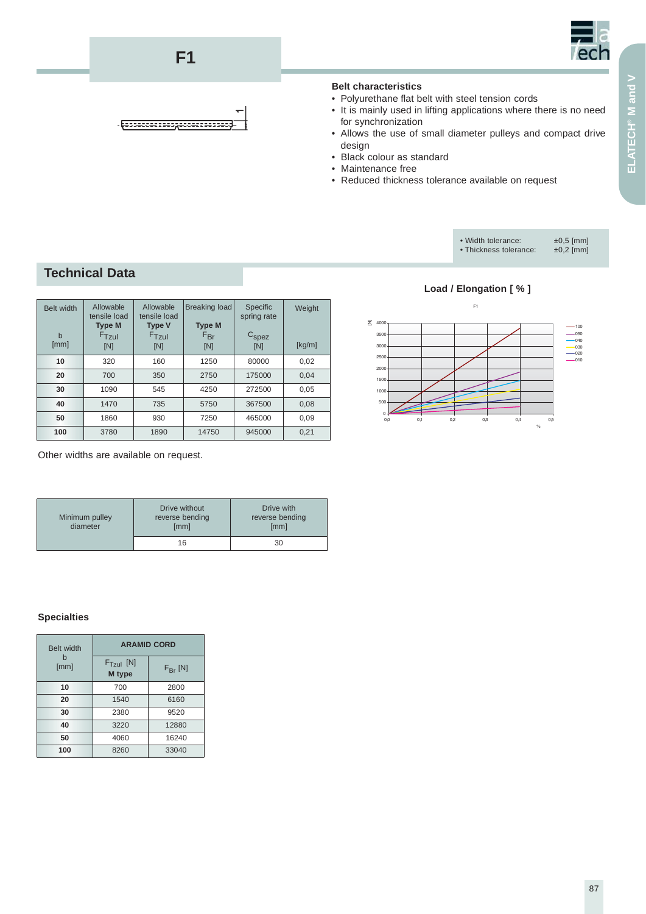

#### **Belt characteristics**

- Polyurethane flat belt with steel tension cords
- It is mainly used in lifting applications where there is no need for synchronization
- Allows the use of small diameter pulleys and compact drive design
- Black colour as standard
- Maintenance free
- Reduced thickness tolerance available on request



## **Technical Data**

| <b>Belt width</b><br>$\mathbf b$<br>[mm] | Allowable<br>tensile load<br><b>Type M</b><br>$F$ Tzul<br>[N] | Allowable<br>tensile load<br><b>Type V</b><br>$F$ Tzul<br>[N] | Breaking load<br><b>Type M</b><br>$F_{\text{Br}}$<br>[N] | Specific<br>spring rate<br>$C_{\text{spec}}$<br>[N] | Weight<br>[kg/m] |
|------------------------------------------|---------------------------------------------------------------|---------------------------------------------------------------|----------------------------------------------------------|-----------------------------------------------------|------------------|
| 10                                       | 320                                                           | 160                                                           | 1250                                                     | 80000                                               | 0,02             |
| 20                                       | 700                                                           | 350                                                           | 2750                                                     | 175000                                              | 0.04             |
| 30                                       | 1090                                                          | 545                                                           | 4250                                                     | 272500                                              | 0,05             |
| 40                                       | 1470                                                          | 735                                                           | 5750                                                     | 367500                                              | 0.08             |
| 50                                       | 1860                                                          | 930                                                           | 7250                                                     | 465000                                              | 0.09             |
| 100                                      | 3780                                                          | 1890                                                          | 14750                                                    | 945000                                              | 0,21             |

**F1**

- разводени наздводени на зв

Other widths are available on request.

| Minimum pulley<br>diameter | Drive without<br>reverse bending<br>[mm] | Drive with<br>reverse bending<br>[mm] |
|----------------------------|------------------------------------------|---------------------------------------|
|                            | 16                                       | 30                                    |

#### **Specialties**

| <b>Belt width</b> | <b>ARAMID CORD</b>    |                  |  |
|-------------------|-----------------------|------------------|--|
| [mm]              | $FTzul$ [N]<br>M type | $F_{\rm Br}$ [N] |  |
| 10                | 700                   | 2800             |  |
| 20                | 1540                  | 6160             |  |
| 30                | 2380                  | 9520             |  |
| 40                | 3220                  | 12880            |  |
| 50                | 4060                  | 16240            |  |
| 100               | 8260                  | 33040            |  |

**Load / Elongation [ % ]**

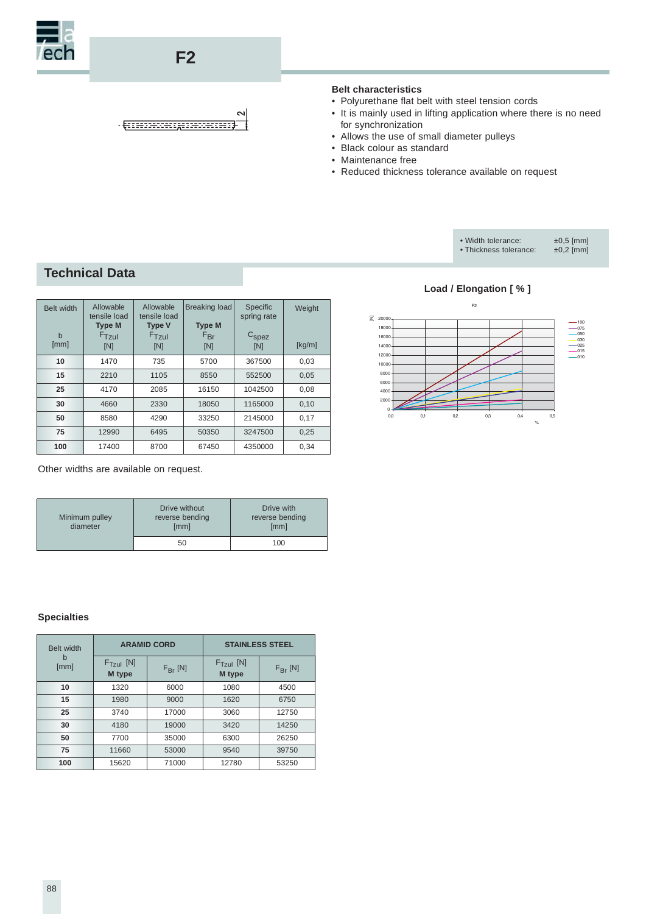

## **F2**

#### $\sim$  $-$  <del>QTI INSURRESPONDED IN THE UNITED STATES</del>

### **Belt characteristics**

- Polyurethane flat belt with steel tension cords
- It is mainly used in lifting application where there is no need for synchronization
- Allows the use of small diameter pulleys
- Black colour as standard
- Maintenance free
- Reduced thickness tolerance available on request



### **Technical Data**

| Belt width<br>$\mathbf b$<br>[mm] | Allowable<br>tensile load<br><b>Type M</b><br>$F$ Tzul<br>[N] | Allowable<br>tensile load<br><b>Type V</b><br>$F$ Tzul<br>[N] | <b>Breaking load</b><br><b>Type M</b><br>$F_{\text{Br}}$<br>[N] | Specific<br>spring rate<br>$C_{\text{spec}}$<br>[N] | Weight<br>[kg/m] |
|-----------------------------------|---------------------------------------------------------------|---------------------------------------------------------------|-----------------------------------------------------------------|-----------------------------------------------------|------------------|
| 10                                | 1470                                                          | 735                                                           | 5700                                                            | 367500                                              | 0,03             |
| 15                                | 2210                                                          | 1105                                                          | 8550                                                            | 552500                                              | 0,05             |
| 25                                | 4170                                                          | 2085                                                          | 16150                                                           | 1042500                                             | 0,08             |
| 30                                | 4660                                                          | 2330                                                          | 18050                                                           | 1165000                                             | 0,10             |
| 50                                | 8580                                                          | 4290                                                          | 33250                                                           | 2145000                                             | 0,17             |
| 75                                | 12990                                                         | 6495                                                          | 50350                                                           | 3247500                                             | 0,25             |
| 100                               | 17400                                                         | 8700                                                          | 67450                                                           | 4350000                                             | 0.34             |

Other widths are available on request.

| Minimum pulley<br>diameter | Drive without<br>reverse bending<br>[mm] | Drive with<br>reverse bending<br>[mm] |
|----------------------------|------------------------------------------|---------------------------------------|
|                            | 50                                       | 100                                   |

#### **Specialties**

| Belt width |                       | <b>ARAMID CORD</b>  |                       | <b>STAINLESS STEEL</b> |  |
|------------|-----------------------|---------------------|-----------------------|------------------------|--|
| b<br>[mm]  | $FTzul$ [N]<br>M type | $F_{\text{Br}}$ [N] | $FTzul$ [N]<br>M type | $F_{\text{Br}}$ [N]    |  |
| 10         | 1320                  | 6000                | 1080                  | 4500                   |  |
| 15         | 1980                  | 9000                | 1620                  | 6750                   |  |
| 25         | 3740                  | 17000               | 3060                  | 12750                  |  |
| 30         | 4180                  | 19000               | 3420                  | 14250                  |  |
| 50         | 7700                  | 35000               | 6300                  | 26250                  |  |
| 75         | 11660                 | 53000               | 9540                  | 39750                  |  |
| 100        | 15620                 | 71000               | 12780                 | 53250                  |  |

#### **Load / Elongation [ % ]**

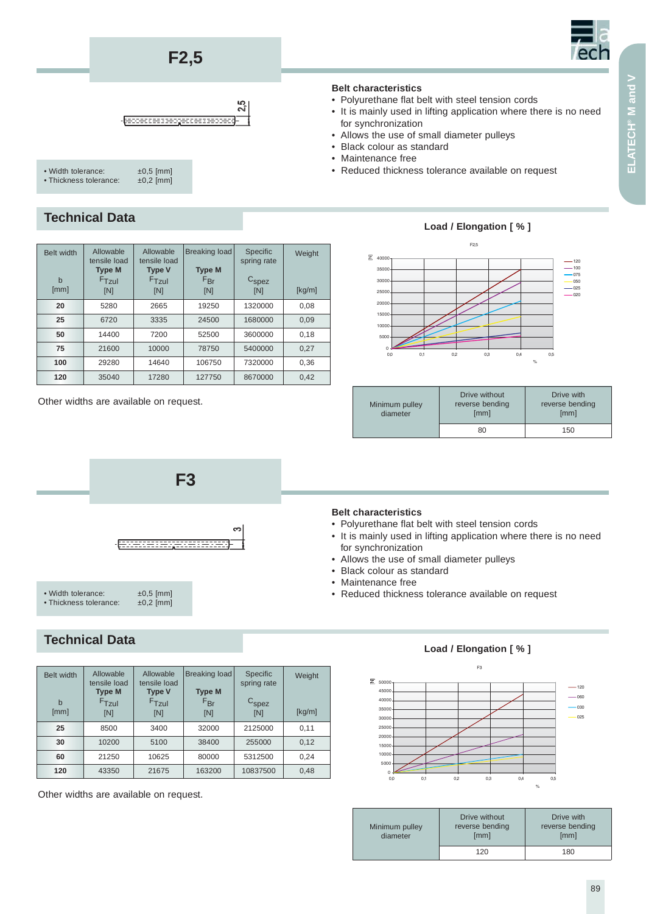## **F2,5**



## $25$



| • Width tolerance:     | $\pm 0.5$ [mm] |
|------------------------|----------------|
| • Thickness tolerance: | $\pm 0.2$ [mm] |
|                        |                |

## **Technical Data**

| Belt width<br>$\mathbf b$<br>[mm] | Allowable<br>tensile load<br><b>Type M</b><br>$F$ Tzul<br>[N] | Allowable<br>tensile load<br><b>Type V</b><br>$F$ Tzul<br>[N] | <b>Breaking load</b><br><b>Type M</b><br>$F_{\text{Br}}$<br>[N] | Specific<br>spring rate<br>C <sub>spec</sub><br>[N] | Weight<br>[kg/m] |
|-----------------------------------|---------------------------------------------------------------|---------------------------------------------------------------|-----------------------------------------------------------------|-----------------------------------------------------|------------------|
| 20                                | 5280                                                          | 2665                                                          | 19250                                                           | 1320000                                             | 0,08             |
| 25                                | 6720                                                          | 3335                                                          | 24500                                                           | 1680000                                             | 0,09             |
| 50                                | 14400                                                         | 7200                                                          | 52500                                                           | 3600000                                             | 0,18             |
| 75                                | 21600                                                         | 10000                                                         | 78750                                                           | 5400000                                             | 0.27             |
| 100                               | 29280                                                         | 14640                                                         | 106750                                                          | 7320000                                             | 0,36             |
| 120                               | 35040                                                         | 17280                                                         | 127750                                                          | 8670000                                             | 0,42             |

Other widths are available on request.



## **Technical Data**

| Belt width<br>$\mathbf b$<br>[mm] | Allowable<br>tensile load<br><b>Type M</b><br>$F$ Tzul<br>[N] | Allowable<br>tensile load<br><b>Type V</b><br>$F$ Tzul<br>[N] | Breaking load<br><b>Type M</b><br>$F_{\text{Br}}$<br>[N] | Specific<br>spring rate<br>$\mathrm{C}_{\texttt{spez}}$<br>[N] | Weight<br>[kg/m] |
|-----------------------------------|---------------------------------------------------------------|---------------------------------------------------------------|----------------------------------------------------------|----------------------------------------------------------------|------------------|
| 25                                | 8500                                                          | 3400                                                          | 32000                                                    | 2125000                                                        | 0,11             |
| 30                                | 10200                                                         | 5100                                                          | 38400                                                    | 255000                                                         | 0,12             |
| 60                                | 21250                                                         | 10625                                                         | 80000                                                    | 5312500                                                        | 0,24             |
| 120                               | 43350                                                         | 21675                                                         | 163200                                                   | 10837500                                                       | 0,48             |

Other widths are available on request.

### **Belt characteristics**

- Polyurethane flat belt with steel tension cords
- It is mainly used in lifting application where there is no need for synchronization
- Allows the use of small diameter pulleys
- Black colour as standard
- Maintenance free
- Reduced thickness tolerance available on request

### **Load / Elongation [ % ]**



| Minimum pulley<br>diameter | Drive without<br>reverse bending<br>[mm] | Drive with<br>reverse bending<br>[mm] |
|----------------------------|------------------------------------------|---------------------------------------|
|                            | 80                                       | 150                                   |

#### **Belt characteristics**

- Polyurethane flat belt with steel tension cords
- It is mainly used in lifting application where there is no need for synchronization
- Allows the use of small diameter pulleys
- Black colour as standard
- Maintenance free
- Reduced thickness tolerance available on request

#### $\mathbb{R}^2$  $0 500$ 1000 1500  $2000$ 2500 3000  $3500$  $\sim$ 45000  $\overline{2}$  5000 00 0.1 02 0.3 0.4 0.5  $-120$  $-060$  $030$  $-025$ %

**Load / Elongation [ % ]**

| Minimum pulley<br>diameter | Drive without<br>reverse bending<br>[mm] | Drive with<br>reverse bending<br>[mm] |
|----------------------------|------------------------------------------|---------------------------------------|
|                            | 120                                      | 180                                   |